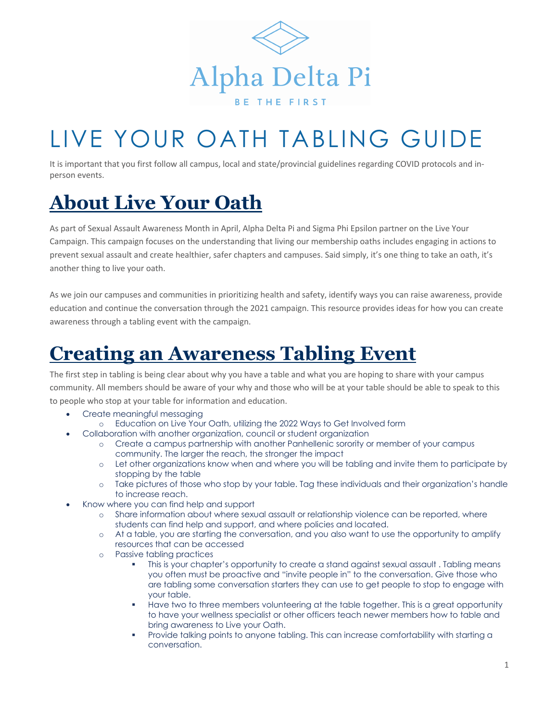

# LIVE YOUR OATH TABLING GUIDE

It is important that you first follow all campus, local and state/provincial guidelines regarding COVID protocols and inperson events.

### **About Live Your Oath**

As part of Sexual Assault Awareness Month in April, Alpha Delta Pi and Sigma Phi Epsilon partner on the Live Your Campaign. This campaign focuses on the understanding that living our membership oaths includes engaging in actions to prevent sexual assault and create healthier, safer chapters and campuses. Said simply, it's one thing to take an oath, it's another thing to live your oath.

As we join our campuses and communities in prioritizing health and safety, identify ways you can raise awareness, provide education and continue the conversation through the 2021 campaign. This resource provides ideas for how you can create awareness through a tabling event with the campaign.

### **Creating an Awareness Tabling Event**

The first step in tabling is being clear about why you have a table and what you are hoping to share with your campus community. All members should be aware of your why and those who will be at your table should be able to speak to this to people who stop at your table for information and education.

- Create meaningful messaging
	- o Education on Live Your Oath, utilizing the 2022 Ways to Get Involved form
- Collaboration with another organization, council or student organization
	- o Create a campus partnership with another Panhellenic sorority or member of your campus community. The larger the reach, the stronger the impact
	- o Let other organizations know when and where you will be tabling and invite them to participate by stopping by the table
	- o Take pictures of those who stop by your table. Tag these individuals and their organization's handle to increase reach.
	- Know where you can find help and support
		- o Share information about where sexual assault or relationship violence can be reported, where students can find help and support, and where policies and located.
		- o At a table, you are starting the conversation, and you also want to use the opportunity to amplify resources that can be accessed
		- o Passive tabling practices
			- This is your chapter's opportunity to create a stand against sexual assault. Tabling means you often must be proactive and "invite people in" to the conversation. Give those who are tabling some conversation starters they can use to get people to stop to engage with your table.
			- **■** Have two to three members volunteering at the table together. This is a great opportunity to have your wellness specialist or other officers teach newer members how to table and bring awareness to Live your Oath.
			- Provide talking points to anyone tabling. This can increase comfortability with starting a conversation.